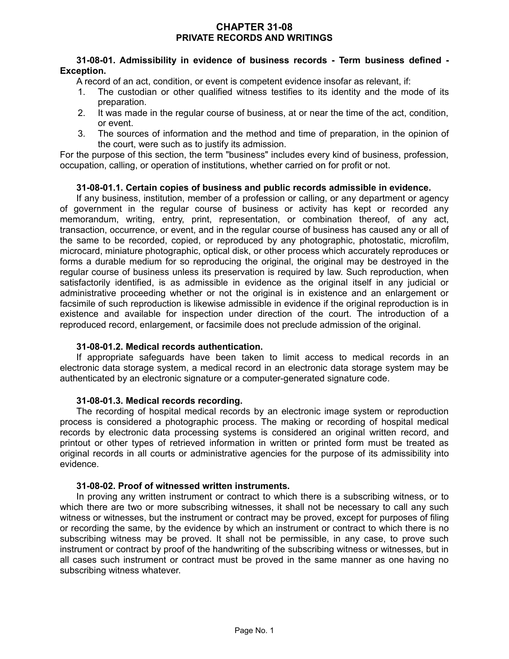## **CHAPTER 31-08 PRIVATE RECORDS AND WRITINGS**

## **31-08-01. Admissibility in evidence of business records - Term business defined - Exception.**

A record of an act, condition, or event is competent evidence insofar as relevant, if:

- 1. The custodian or other qualified witness testifies to its identity and the mode of its preparation.
- 2. It was made in the regular course of business, at or near the time of the act, condition, or event.
- 3. The sources of information and the method and time of preparation, in the opinion of the court, were such as to justify its admission.

For the purpose of this section, the term "business" includes every kind of business, profession, occupation, calling, or operation of institutions, whether carried on for profit or not.

# **31-08-01.1. Certain copies of business and public records admissible in evidence.**

If any business, institution, member of a profession or calling, or any department or agency of government in the regular course of business or activity has kept or recorded any memorandum, writing, entry, print, representation, or combination thereof, of any act, transaction, occurrence, or event, and in the regular course of business has caused any or all of the same to be recorded, copied, or reproduced by any photographic, photostatic, microfilm, microcard, miniature photographic, optical disk, or other process which accurately reproduces or forms a durable medium for so reproducing the original, the original may be destroyed in the regular course of business unless its preservation is required by law. Such reproduction, when satisfactorily identified, is as admissible in evidence as the original itself in any judicial or administrative proceeding whether or not the original is in existence and an enlargement or facsimile of such reproduction is likewise admissible in evidence if the original reproduction is in existence and available for inspection under direction of the court. The introduction of a reproduced record, enlargement, or facsimile does not preclude admission of the original.

#### **31-08-01.2. Medical records authentication.**

If appropriate safeguards have been taken to limit access to medical records in an electronic data storage system, a medical record in an electronic data storage system may be authenticated by an electronic signature or a computer-generated signature code.

#### **31-08-01.3. Medical records recording.**

The recording of hospital medical records by an electronic image system or reproduction process is considered a photographic process. The making or recording of hospital medical records by electronic data processing systems is considered an original written record, and printout or other types of retrieved information in written or printed form must be treated as original records in all courts or administrative agencies for the purpose of its admissibility into evidence.

# **31-08-02. Proof of witnessed written instruments.**

In proving any written instrument or contract to which there is a subscribing witness, or to which there are two or more subscribing witnesses, it shall not be necessary to call any such witness or witnesses, but the instrument or contract may be proved, except for purposes of filing or recording the same, by the evidence by which an instrument or contract to which there is no subscribing witness may be proved. It shall not be permissible, in any case, to prove such instrument or contract by proof of the handwriting of the subscribing witness or witnesses, but in all cases such instrument or contract must be proved in the same manner as one having no subscribing witness whatever.